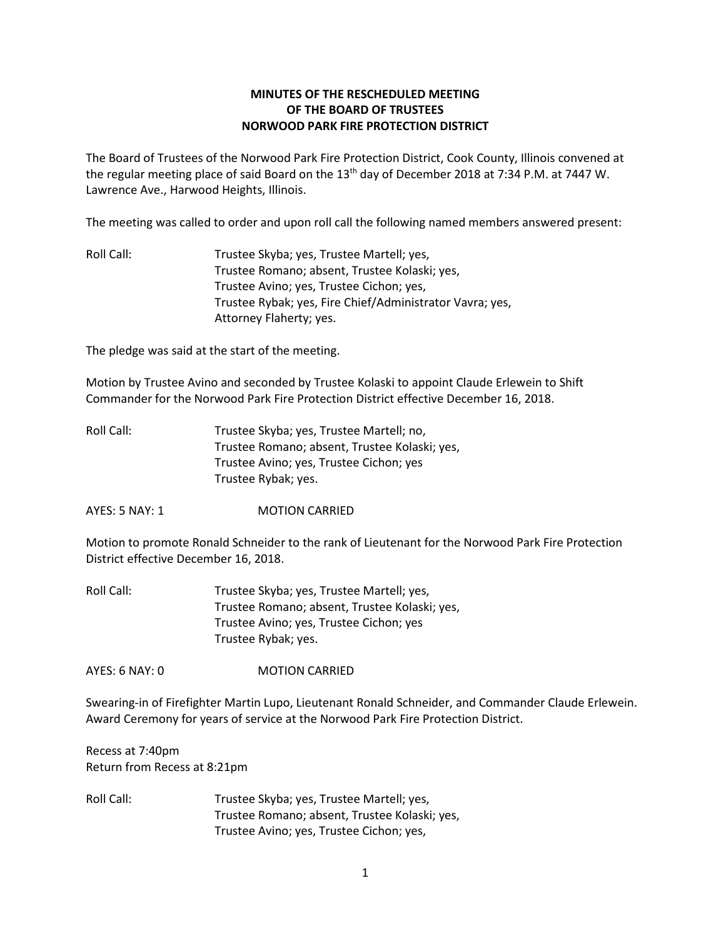# **MINUTES OF THE RESCHEDULED MEETING OF THE BOARD OF TRUSTEES NORWOOD PARK FIRE PROTECTION DISTRICT**

The Board of Trustees of the Norwood Park Fire Protection District, Cook County, Illinois convened at the regular meeting place of said Board on the 13th day of December 2018 at 7:34 P.M. at 7447 W. Lawrence Ave., Harwood Heights, Illinois.

The meeting was called to order and upon roll call the following named members answered present:

Roll Call: Trustee Skyba; yes, Trustee Martell; yes, Trustee Romano; absent, Trustee Kolaski; yes, Trustee Avino; yes, Trustee Cichon; yes, Trustee Rybak; yes, Fire Chief/Administrator Vavra; yes, Attorney Flaherty; yes.

The pledge was said at the start of the meeting.

Motion by Trustee Avino and seconded by Trustee Kolaski to appoint Claude Erlewein to Shift Commander for the Norwood Park Fire Protection District effective December 16, 2018.

| Roll Call: | Trustee Skyba; yes, Trustee Martell; no,      |
|------------|-----------------------------------------------|
|            | Trustee Romano; absent, Trustee Kolaski; yes, |
|            | Trustee Avino; yes, Trustee Cichon; yes       |
|            | Trustee Rybak; yes.                           |

AYES: 5 NAY: 1 MOTION CARRIED

Motion to promote Ronald Schneider to the rank of Lieutenant for the Norwood Park Fire Protection District effective December 16, 2018.

| Roll Call: | Trustee Skyba; yes, Trustee Martell; yes,     |
|------------|-----------------------------------------------|
|            | Trustee Romano; absent, Trustee Kolaski; yes, |
|            | Trustee Avino; yes, Trustee Cichon; yes       |
|            | Trustee Rybak; yes.                           |

AYES: 6 NAY: 0 MOTION CARRIED

Swearing-in of Firefighter Martin Lupo, Lieutenant Ronald Schneider, and Commander Claude Erlewein. Award Ceremony for years of service at the Norwood Park Fire Protection District.

Recess at 7:40pm Return from Recess at 8:21pm

Roll Call: Trustee Skyba; yes, Trustee Martell; yes, Trustee Romano; absent, Trustee Kolaski; yes, Trustee Avino; yes, Trustee Cichon; yes,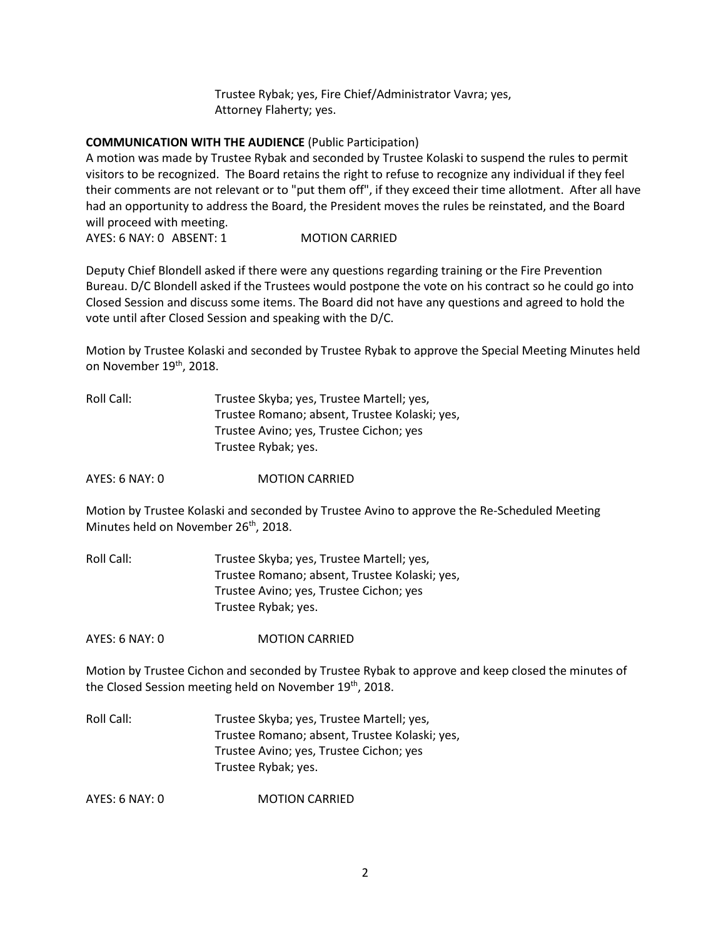Trustee Rybak; yes, Fire Chief/Administrator Vavra; yes, Attorney Flaherty; yes.

### **COMMUNICATION WITH THE AUDIENCE** (Public Participation)

A motion was made by Trustee Rybak and seconded by Trustee Kolaski to suspend the rules to permit visitors to be recognized. The Board retains the right to refuse to recognize any individual if they feel their comments are not relevant or to "put them off", if they exceed their time allotment. After all have had an opportunity to address the Board, the President moves the rules be reinstated, and the Board will proceed with meeting.

AYES: 6 NAY: 0 ABSENT: 1 MOTION CARRIED

Deputy Chief Blondell asked if there were any questions regarding training or the Fire Prevention Bureau. D/C Blondell asked if the Trustees would postpone the vote on his contract so he could go into Closed Session and discuss some items. The Board did not have any questions and agreed to hold the vote until after Closed Session and speaking with the D/C.

Motion by Trustee Kolaski and seconded by Trustee Rybak to approve the Special Meeting Minutes held on November 19<sup>th</sup>, 2018.

| Roll Call: | Trustee Skyba; yes, Trustee Martell; yes,     |
|------------|-----------------------------------------------|
|            | Trustee Romano; absent, Trustee Kolaski; yes, |
|            | Trustee Avino; yes, Trustee Cichon; yes       |
|            | Trustee Rybak; yes.                           |

AYES: 6 NAY: 0 MOTION CARRIED

Motion by Trustee Kolaski and seconded by Trustee Avino to approve the Re-Scheduled Meeting Minutes held on November 26<sup>th</sup>, 2018.

Roll Call: Trustee Skyba; yes, Trustee Martell; yes, Trustee Romano; absent, Trustee Kolaski; yes, Trustee Avino; yes, Trustee Cichon; yes Trustee Rybak; yes.

AYES: 6 NAY: 0 MOTION CARRIED

Motion by Trustee Cichon and seconded by Trustee Rybak to approve and keep closed the minutes of the Closed Session meeting held on November 19<sup>th</sup>, 2018.

Roll Call: Trustee Skyba; yes, Trustee Martell; yes, Trustee Romano; absent, Trustee Kolaski; yes, Trustee Avino; yes, Trustee Cichon; yes Trustee Rybak; yes.

AYES: 6 NAY: 0 MOTION CARRIED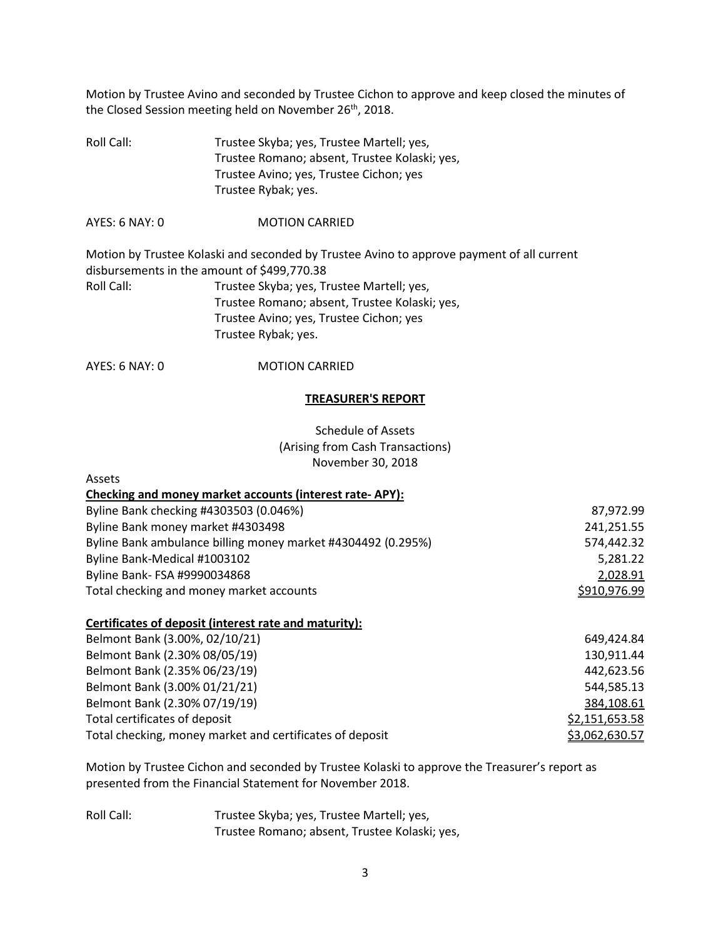Motion by Trustee Avino and seconded by Trustee Cichon to approve and keep closed the minutes of the Closed Session meeting held on November 26<sup>th</sup>, 2018.

Roll Call: Trustee Skyba; yes, Trustee Martell; yes, Trustee Romano; absent, Trustee Kolaski; yes, Trustee Avino; yes, Trustee Cichon; yes Trustee Rybak; yes.

AYES: 6 NAY: 0 MOTION CARRIED

Motion by Trustee Kolaski and seconded by Trustee Avino to approve payment of all current disbursements in the amount of \$499,770.38 Roll Call: Trustee Skyba; yes, Trustee Martell; yes, Trustee Romano; absent, Trustee Kolaski; yes, Trustee Avino; yes, Trustee Cichon; yes Trustee Rybak; yes.

AYES: 6 NAY: 0 MOTION CARRIED

#### **TREASURER'S REPORT**

Schedule of Assets (Arising from Cash Transactions) November 30, 2018

| Assets                                                       |              |
|--------------------------------------------------------------|--------------|
| Checking and money market accounts (interest rate-APY):      |              |
| Byline Bank checking #4303503 (0.046%)                       | 87,972.99    |
| Byline Bank money market #4303498                            | 241,251.55   |
| Byline Bank ambulance billing money market #4304492 (0.295%) | 574,442.32   |
| Byline Bank-Medical #1003102                                 | 5,281.22     |
| Byline Bank- FSA #9990034868                                 | 2,028.91     |
| Total checking and money market accounts                     | \$910,976.99 |

# **Certificates of deposit (interest rate and maturity):**

| Belmont Bank (3.00%, 02/10/21)                           | 649,424.84     |
|----------------------------------------------------------|----------------|
| Belmont Bank (2.30% 08/05/19)                            | 130,911.44     |
| Belmont Bank (2.35% 06/23/19)                            | 442,623.56     |
| Belmont Bank (3.00% 01/21/21)                            | 544,585.13     |
| Belmont Bank (2.30% 07/19/19)                            | 384,108.61     |
| Total certificates of deposit                            | \$2,151,653.58 |
| Total checking, money market and certificates of deposit | \$3,062,630.57 |

Motion by Trustee Cichon and seconded by Trustee Kolaski to approve the Treasurer's report as presented from the Financial Statement for November 2018.

Roll Call: Trustee Skyba; yes, Trustee Martell; yes, Trustee Romano; absent, Trustee Kolaski; yes,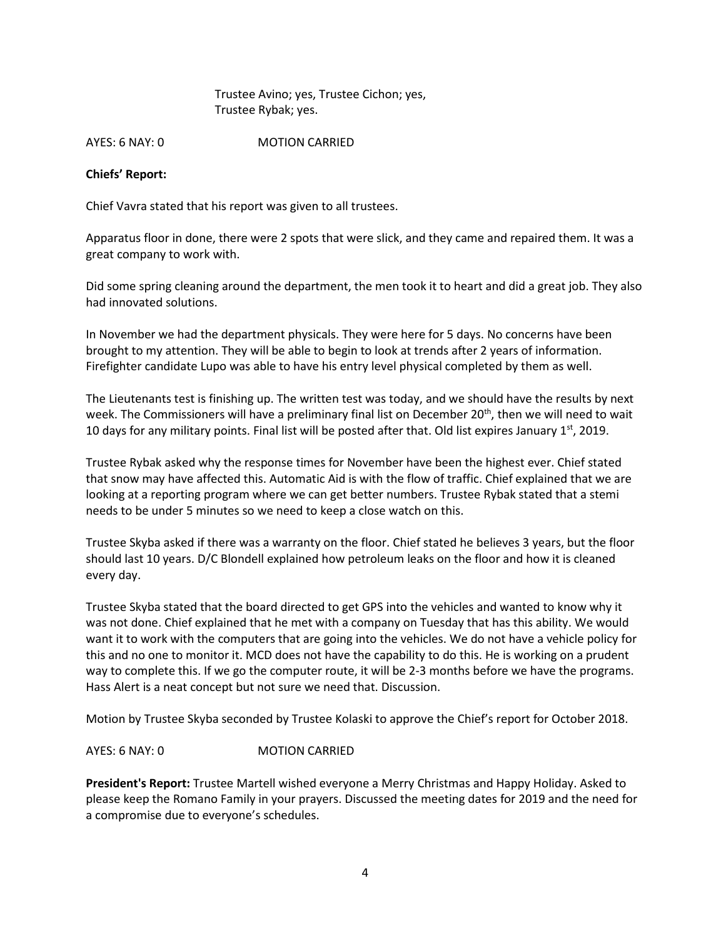Trustee Avino; yes, Trustee Cichon; yes, Trustee Rybak; yes.

AYES: 6 NAY: 0 MOTION CARRIED

### **Chiefs' Report:**

Chief Vavra stated that his report was given to all trustees.

Apparatus floor in done, there were 2 spots that were slick, and they came and repaired them. It was a great company to work with.

Did some spring cleaning around the department, the men took it to heart and did a great job. They also had innovated solutions.

In November we had the department physicals. They were here for 5 days. No concerns have been brought to my attention. They will be able to begin to look at trends after 2 years of information. Firefighter candidate Lupo was able to have his entry level physical completed by them as well.

The Lieutenants test is finishing up. The written test was today, and we should have the results by next week. The Commissioners will have a preliminary final list on December 20<sup>th</sup>, then we will need to wait 10 days for any military points. Final list will be posted after that. Old list expires January  $1<sup>st</sup>$ , 2019.

Trustee Rybak asked why the response times for November have been the highest ever. Chief stated that snow may have affected this. Automatic Aid is with the flow of traffic. Chief explained that we are looking at a reporting program where we can get better numbers. Trustee Rybak stated that a stemi needs to be under 5 minutes so we need to keep a close watch on this.

Trustee Skyba asked if there was a warranty on the floor. Chief stated he believes 3 years, but the floor should last 10 years. D/C Blondell explained how petroleum leaks on the floor and how it is cleaned every day.

Trustee Skyba stated that the board directed to get GPS into the vehicles and wanted to know why it was not done. Chief explained that he met with a company on Tuesday that has this ability. We would want it to work with the computers that are going into the vehicles. We do not have a vehicle policy for this and no one to monitor it. MCD does not have the capability to do this. He is working on a prudent way to complete this. If we go the computer route, it will be 2-3 months before we have the programs. Hass Alert is a neat concept but not sure we need that. Discussion.

Motion by Trustee Skyba seconded by Trustee Kolaski to approve the Chief's report for October 2018.

AYES: 6 NAY: 0 MOTION CARRIED

**President's Report:** Trustee Martell wished everyone a Merry Christmas and Happy Holiday. Asked to please keep the Romano Family in your prayers. Discussed the meeting dates for 2019 and the need for a compromise due to everyone's schedules.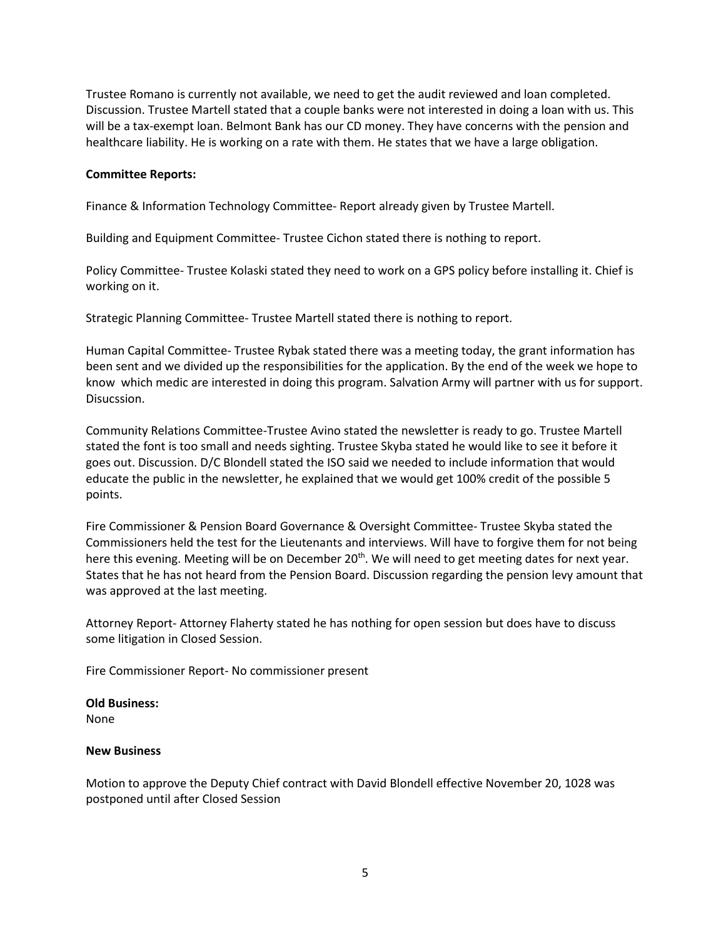Trustee Romano is currently not available, we need to get the audit reviewed and loan completed. Discussion. Trustee Martell stated that a couple banks were not interested in doing a loan with us. This will be a tax-exempt loan. Belmont Bank has our CD money. They have concerns with the pension and healthcare liability. He is working on a rate with them. He states that we have a large obligation.

## **Committee Reports:**

Finance & Information Technology Committee- Report already given by Trustee Martell.

Building and Equipment Committee- Trustee Cichon stated there is nothing to report.

Policy Committee- Trustee Kolaski stated they need to work on a GPS policy before installing it. Chief is working on it.

Strategic Planning Committee- Trustee Martell stated there is nothing to report.

Human Capital Committee- Trustee Rybak stated there was a meeting today, the grant information has been sent and we divided up the responsibilities for the application. By the end of the week we hope to know which medic are interested in doing this program. Salvation Army will partner with us for support. Disucssion.

Community Relations Committee-Trustee Avino stated the newsletter is ready to go. Trustee Martell stated the font is too small and needs sighting. Trustee Skyba stated he would like to see it before it goes out. Discussion. D/C Blondell stated the ISO said we needed to include information that would educate the public in the newsletter, he explained that we would get 100% credit of the possible 5 points.

Fire Commissioner & Pension Board Governance & Oversight Committee- Trustee Skyba stated the Commissioners held the test for the Lieutenants and interviews. Will have to forgive them for not being here this evening. Meeting will be on December 20<sup>th</sup>. We will need to get meeting dates for next year. States that he has not heard from the Pension Board. Discussion regarding the pension levy amount that was approved at the last meeting.

Attorney Report- Attorney Flaherty stated he has nothing for open session but does have to discuss some litigation in Closed Session.

Fire Commissioner Report- No commissioner present

**Old Business:**  None

#### **New Business**

Motion to approve the Deputy Chief contract with David Blondell effective November 20, 1028 was postponed until after Closed Session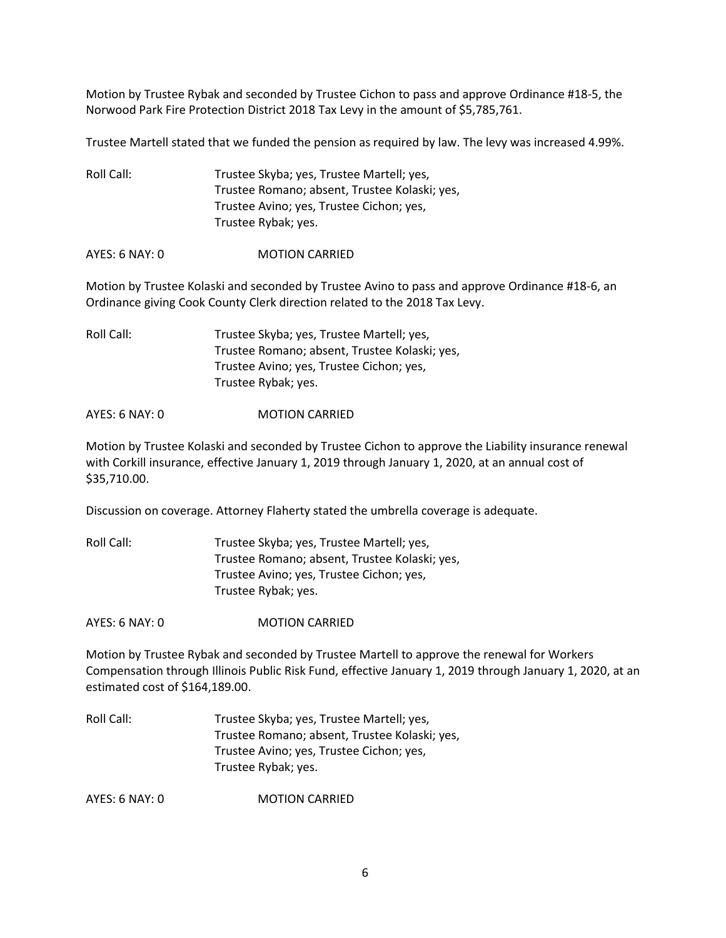Motion by Trustee Rybak and seconded by Trustee Cichon to pass and approve Ordinance #18-5, the Norwood Park Fire Protection District 2018 Tax Levy in the amount of \$5,785,761.

Trustee Martell stated that we funded the pension as required by law. The levy was increased 4.99%.

Roll Call: Trustee Skyba; yes, Trustee Martell; yes, Trustee Romano; absent, Trustee Kolaski; yes, Trustee Avino; yes, Trustee Cichon; yes, Trustee Rybak; yes.

AYES: 6 NAY: 0 MOTION CARRIED

Motion by Trustee Kolaski and seconded by Trustee Avino to pass and approve Ordinance #18-6, an Ordinance giving Cook County Clerk direction related to the 2018 Tax Levy.

Roll Call: Trustee Skyba; yes, Trustee Martell; yes, Trustee Romano; absent, Trustee Kolaski; yes, Trustee Avino; yes, Trustee Cichon; yes, Trustee Rybak; yes.

### AYES: 6 NAY: 0 MOTION CARRIED

Motion by Trustee Kolaski and seconded by Trustee Cichon to approve the Liability insurance renewal with Corkill insurance, effective January 1, 2019 through January 1, 2020, at an annual cost of \$35,710.00.

Discussion on coverage. Attorney Flaherty stated the umbrella coverage is adequate.

| Trustee Skyba; yes, Trustee Martell; yes,     |
|-----------------------------------------------|
| Trustee Romano; absent, Trustee Kolaski; yes, |
| Trustee Avino; yes, Trustee Cichon; yes,      |
| Trustee Rybak; yes.                           |
|                                               |

AYES: 6 NAY: 0 MOTION CARRIED

Motion by Trustee Rybak and seconded by Trustee Martell to approve the renewal for Workers Compensation through Illinois Public Risk Fund, effective January 1, 2019 through January 1, 2020, at an estimated cost of \$164,189.00.

Roll Call: Trustee Skyba; yes, Trustee Martell; yes, Trustee Romano; absent, Trustee Kolaski; yes, Trustee Avino; yes, Trustee Cichon; yes, Trustee Rybak; yes.

AYES: 6 NAY: 0 MOTION CARRIED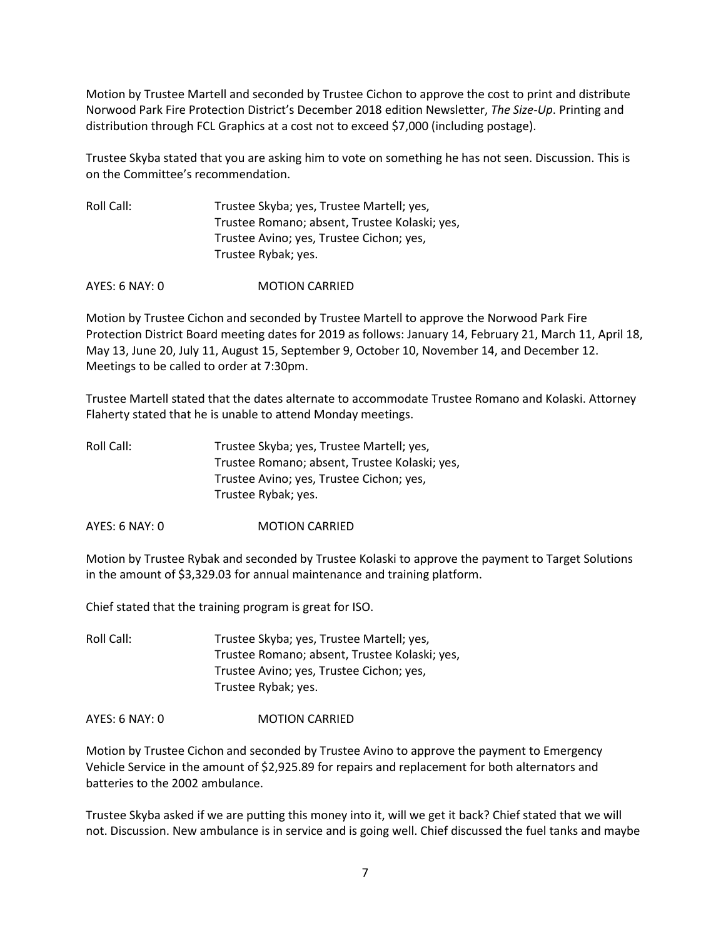Motion by Trustee Martell and seconded by Trustee Cichon to approve the cost to print and distribute Norwood Park Fire Protection District's December 2018 edition Newsletter, *The Size-Up*. Printing and distribution through FCL Graphics at a cost not to exceed \$7,000 (including postage).

Trustee Skyba stated that you are asking him to vote on something he has not seen. Discussion. This is on the Committee's recommendation.

| Roll Call: | Trustee Skyba; yes, Trustee Martell; yes,     |
|------------|-----------------------------------------------|
|            | Trustee Romano; absent, Trustee Kolaski; yes, |
|            | Trustee Avino; yes, Trustee Cichon; yes,      |
|            | Trustee Rybak; yes.                           |
|            |                                               |

AYES: 6 NAY: 0 MOTION CARRIED

Motion by Trustee Cichon and seconded by Trustee Martell to approve the Norwood Park Fire Protection District Board meeting dates for 2019 as follows: January 14, February 21, March 11, April 18, May 13, June 20, July 11, August 15, September 9, October 10, November 14, and December 12. Meetings to be called to order at 7:30pm.

Trustee Martell stated that the dates alternate to accommodate Trustee Romano and Kolaski. Attorney Flaherty stated that he is unable to attend Monday meetings.

| Roll Call: | Trustee Skyba; yes, Trustee Martell; yes,     |
|------------|-----------------------------------------------|
|            | Trustee Romano; absent, Trustee Kolaski; yes, |
|            | Trustee Avino; yes, Trustee Cichon; yes,      |
|            | Trustee Rybak; yes.                           |

AYES: 6 NAY: 0 MOTION CARRIED

Motion by Trustee Rybak and seconded by Trustee Kolaski to approve the payment to Target Solutions in the amount of \$3,329.03 for annual maintenance and training platform.

Chief stated that the training program is great for ISO.

Roll Call: Trustee Skyba; yes, Trustee Martell; yes, Trustee Romano; absent, Trustee Kolaski; yes, Trustee Avino; yes, Trustee Cichon; yes, Trustee Rybak; yes.

AYES: 6 NAY: 0 MOTION CARRIED

Motion by Trustee Cichon and seconded by Trustee Avino to approve the payment to Emergency Vehicle Service in the amount of \$2,925.89 for repairs and replacement for both alternators and batteries to the 2002 ambulance.

Trustee Skyba asked if we are putting this money into it, will we get it back? Chief stated that we will not. Discussion. New ambulance is in service and is going well. Chief discussed the fuel tanks and maybe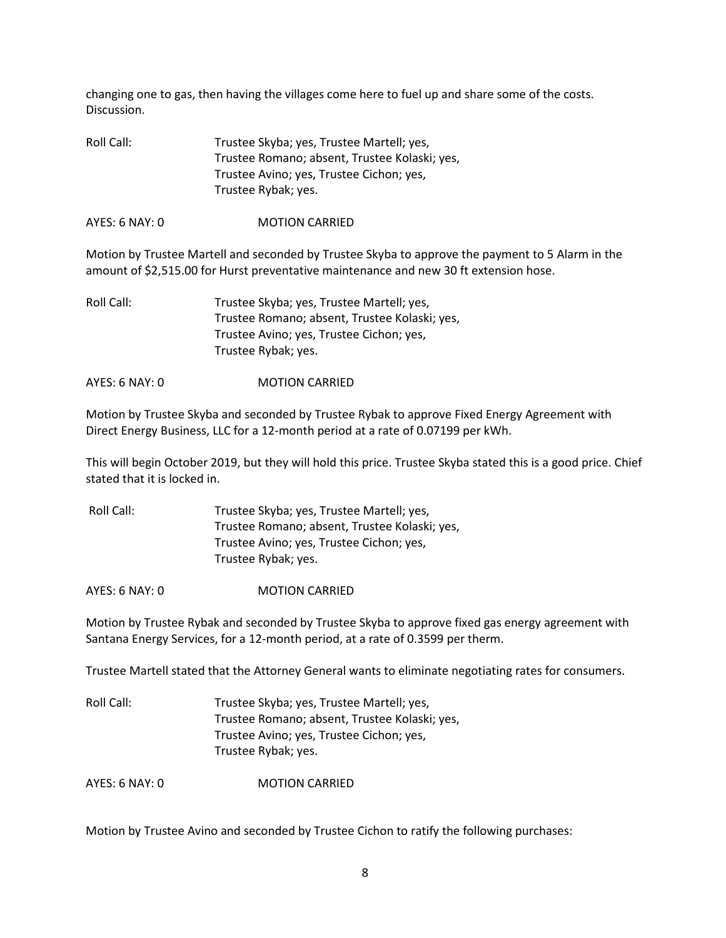changing one to gas, then having the villages come here to fuel up and share some of the costs. Discussion.

| Trustee Skyba; yes, Trustee Martell; yes,     |
|-----------------------------------------------|
| Trustee Romano; absent, Trustee Kolaski; yes, |
| Trustee Avino; yes, Trustee Cichon; yes,      |
| Trustee Rybak; yes.                           |
|                                               |

AYES: 6 NAY: 0 MOTION CARRIED

Motion by Trustee Martell and seconded by Trustee Skyba to approve the payment to 5 Alarm in the amount of \$2,515.00 for Hurst preventative maintenance and new 30 ft extension hose.

| Roll Call: | Trustee Skyba; yes, Trustee Martell; yes,     |
|------------|-----------------------------------------------|
|            | Trustee Romano; absent, Trustee Kolaski; yes, |
|            | Trustee Avino; yes, Trustee Cichon; yes,      |
|            | Trustee Rybak; yes.                           |
|            |                                               |

AYES: 6 NAY: 0 **MOTION CARRIED** 

Motion by Trustee Skyba and seconded by Trustee Rybak to approve Fixed Energy Agreement with Direct Energy Business, LLC for a 12-month period at a rate of 0.07199 per kWh.

This will begin October 2019, but they will hold this price. Trustee Skyba stated this is a good price. Chief stated that it is locked in.

| Roll Call: | Trustee Skyba; yes, Trustee Martell; yes,     |
|------------|-----------------------------------------------|
|            | Trustee Romano; absent, Trustee Kolaski; yes, |
|            | Trustee Avino; yes, Trustee Cichon; yes,      |
|            | Trustee Rybak; yes.                           |

AYES: 6 NAY: 0 MOTION CARRIED

Motion by Trustee Rybak and seconded by Trustee Skyba to approve fixed gas energy agreement with Santana Energy Services, for a 12-month period, at a rate of 0.3599 per therm.

Trustee Martell stated that the Attorney General wants to eliminate negotiating rates for consumers.

| Roll Call: | Trustee Skyba; yes, Trustee Martell; yes,     |
|------------|-----------------------------------------------|
|            | Trustee Romano; absent, Trustee Kolaski; yes, |
|            | Trustee Avino; yes, Trustee Cichon; yes,      |
|            | Trustee Rybak; yes.                           |

AYES: 6 NAY: 0 MOTION CARRIED

Motion by Trustee Avino and seconded by Trustee Cichon to ratify the following purchases: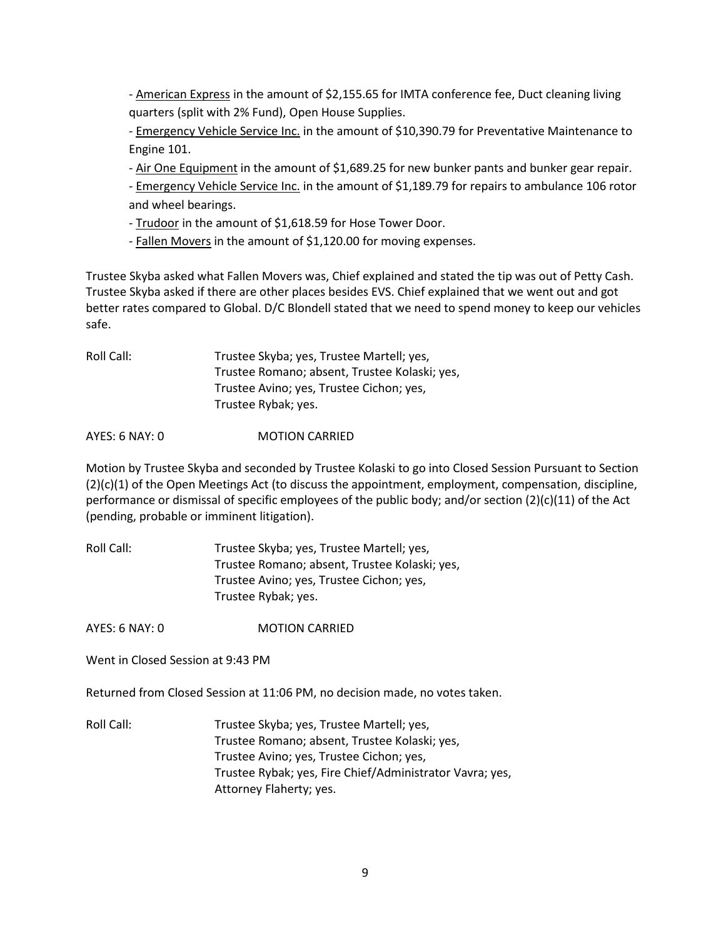- American Express in the amount of \$2,155.65 for IMTA conference fee, Duct cleaning living quarters (split with 2% Fund), Open House Supplies.

- Emergency Vehicle Service Inc. in the amount of \$10,390.79 for Preventative Maintenance to Engine 101.

- Air One Equipment in the amount of \$1,689.25 for new bunker pants and bunker gear repair.

- Emergency Vehicle Service Inc. in the amount of \$1,189.79 for repairs to ambulance 106 rotor and wheel bearings.

- Trudoor in the amount of \$1,618.59 for Hose Tower Door.

- Fallen Movers in the amount of \$1,120.00 for moving expenses.

Trustee Skyba asked what Fallen Movers was, Chief explained and stated the tip was out of Petty Cash. Trustee Skyba asked if there are other places besides EVS. Chief explained that we went out and got better rates compared to Global. D/C Blondell stated that we need to spend money to keep our vehicles safe.

| Roll Call: | Trustee Skyba; yes, Trustee Martell; yes,     |
|------------|-----------------------------------------------|
|            | Trustee Romano; absent, Trustee Kolaski; yes, |
|            | Trustee Avino; yes, Trustee Cichon; yes,      |
|            | Trustee Rybak; yes.                           |

AYES: 6 NAY: 0 **MOTION CARRIED** 

Motion by Trustee Skyba and seconded by Trustee Kolaski to go into Closed Session Pursuant to Section (2)(c)(1) of the Open Meetings Act (to discuss the appointment, employment, compensation, discipline, performance or dismissal of specific employees of the public body; and/or section (2)(c)(11) of the Act (pending, probable or imminent litigation).

| Roll Call: | Trustee Skyba; yes, Trustee Martell; yes,     |
|------------|-----------------------------------------------|
|            | Trustee Romano; absent, Trustee Kolaski; yes, |
|            | Trustee Avino; yes, Trustee Cichon; yes,      |
|            | Trustee Rybak; yes.                           |

AYES: 6 NAY: 0 MOTION CARRIED

Went in Closed Session at 9:43 PM

Returned from Closed Session at 11:06 PM, no decision made, no votes taken.

Roll Call: Trustee Skyba; yes, Trustee Martell; yes, Trustee Romano; absent, Trustee Kolaski; yes, Trustee Avino; yes, Trustee Cichon; yes, Trustee Rybak; yes, Fire Chief/Administrator Vavra; yes, Attorney Flaherty; yes.